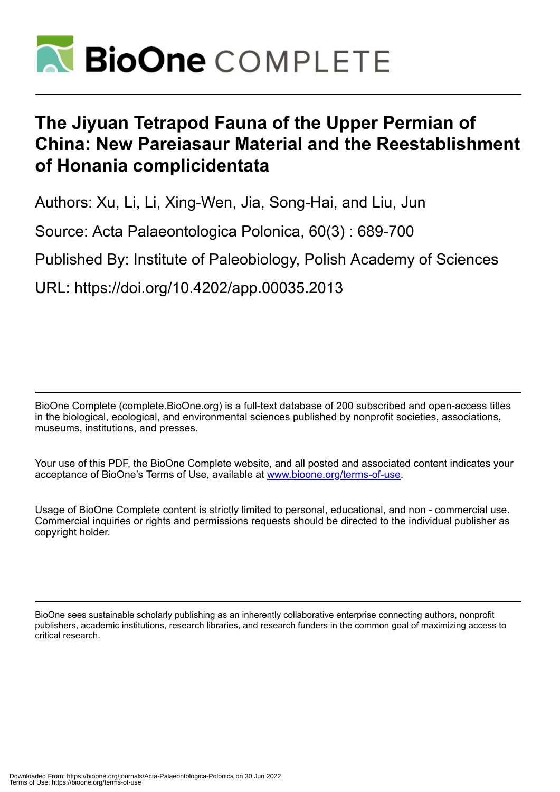

## **The Jiyuan Tetrapod Fauna of the Upper Permian of China: New Pareiasaur Material and the Reestablishment of Honania complicidentata**

Authors: Xu, Li, Li, Xing-Wen, Jia, Song-Hai, and Liu, Jun

Source: Acta Palaeontologica Polonica, 60(3) : 689-700

Published By: Institute of Paleobiology, Polish Academy of Sciences

URL: https://doi.org/10.4202/app.00035.2013

BioOne Complete (complete.BioOne.org) is a full-text database of 200 subscribed and open-access titles in the biological, ecological, and environmental sciences published by nonprofit societies, associations, museums, institutions, and presses.

Your use of this PDF, the BioOne Complete website, and all posted and associated content indicates your acceptance of BioOne's Terms of Use, available at www.bioone.org/terms-of-use.

Usage of BioOne Complete content is strictly limited to personal, educational, and non - commercial use. Commercial inquiries or rights and permissions requests should be directed to the individual publisher as copyright holder.

BioOne sees sustainable scholarly publishing as an inherently collaborative enterprise connecting authors, nonprofit publishers, academic institutions, research libraries, and research funders in the common goal of maximizing access to critical research.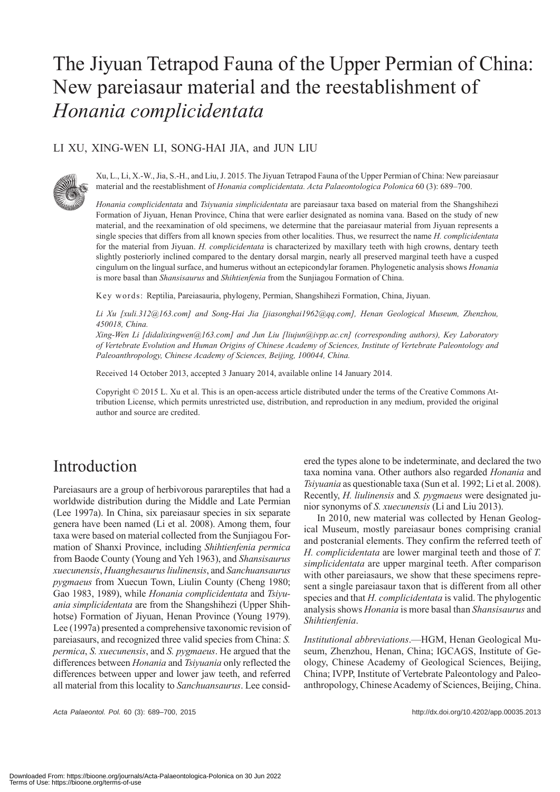# The Jiyuan Tetrapod Fauna of the Upper Permian of China: New pareiasaur material and the reestablishment of *Honania complicidentata*

### LI XU, XING-WEN LI, SONG-HAI JIA, and JUN LIU



Xu, L., Li, X.-W., Jia, S.-H., and Liu, J. 2015. The Jiyuan Tetrapod Fauna of the Upper Permian of China: New pareiasaur material and the reestablishment of *Honania complicidentata. Acta Palaeontologica Polonica* 60 (3): 689–700.

*Honania complicidentata* and *Tsiyuania simplicidentata* are pareiasaur taxa based on material from the Shangshihezi Formation of Jiyuan, Henan Province, China that were earlier designated as nomina vana. Based on the study of new material, and the reexamination of old specimens, we determine that the pareiasaur material from Jiyuan represents a single species that differs from all known species from other localities. Thus, we resurrect the name *H. complicidentata*  for the material from Jiyuan. *H. complicidentata* is characterized by maxillary teeth with high crowns, dentary teeth slightly posteriorly inclined compared to the dentary dorsal margin, nearly all preserved marginal teeth have a cusped cingulum on the lingual surface, and humerus without an ectepicondylar foramen. Phylogenetic analysis shows *Honania* is more basal than *Shansisaurus* and *Shihtienfenia* from the Sunjiagou Formation of China.

Key words: Reptilia, Pareiasauria, phylogeny, Permian, Shangshihezi Formation, China, Jiyuan.

*Li Xu [xuli.312@163.com] and Song-Hai Jia [jiasonghai1962@qq.com], Henan Geological Museum, Zhenzhou, 450018, China.*

*Xing-Wen Li [didalixingwen@163.com] and Jun Liu [liujun@ivpp.ac.cn] (corresponding authors), Key Laboratory of Vertebrate Evolution and Human Origins of Chinese Academy of Sciences, Institute of Vertebrate Paleontology and Paleoanthropology, Chinese Academy of Sciences, Beijing, 100044, China.*

Received 14 October 2013, accepted 3 January 2014, available online 14 January 2014.

Copyright © 2015 L. Xu et al. This is an open-access article distributed under the terms of the Creative Commons Attribution License, which permits unrestricted use, distribution, and reproduction in any medium, provided the original author and source are credited.

### Introduction

Pareiasaurs are a group of herbivorous parareptiles that had a worldwide distribution during the Middle and Late Permian (Lee 1997a). In China, six pareiasaur species in six separate genera have been named (Li et al. 2008). Among them, four taxa were based on material collected from the Sunjiagou Formation of Shanxi Province, including *Shihtienfenia permica* from Baode County (Young and Yeh 1963), and *Shansisaurus xuecunensis*, *Huanghesaurus liulinensis*, and *Sanchuansaurus pygmaeus* from Xuecun Town, Liulin County (Cheng 1980; Gao 1983, 1989), while *Honania complicidentata* and *Tsiyuania simplicidentata* are from the Shangshihezi (Upper Shihhotse) Formation of Jiyuan, Henan Province (Young 1979). Lee (1997a) presented a comprehensive taxonomic revision of pareiasaurs, and recognized three valid species from China: *S. permica*, *S. xuecunensis*, and *S. pygmaeus*. He argued that the differences between *Honania* and *Tsiyuania* only reflected the differences between upper and lower jaw teeth, and referred all material from this locality to *Sanchuansaurus*. Lee consid-

*Acta Palaeontol. Pol.* 60 (3): 689–700, 2015 http://dx.doi.org/10.4202/app.00035.2013

ered the types alone to be indeterminate, and declared the two taxa nomina vana. Other authors also regarded *Honania* and *Tsiyuania* as questionable taxa (Sun et al. 1992; Li et al. 2008). Recently, *H. liulinensis* and *S. pygmaeus* were designated junior synonyms of *S. xuecunensis* (Li and Liu 2013).

In 2010, new material was collected by Henan Geological Museum, mostly pareiasaur bones comprising cranial and postcranial elements. They confirm the referred teeth of *H. complicidentata* are lower marginal teeth and those of *T. simplicidentata* are upper marginal teeth. After comparison with other pareiasaurs, we show that these specimens represent a single pareiasaur taxon that is different from all other species and that *H. complicidentata* is valid. The phylogentic analysis shows *Honania* is more basal than *Shansisaurus* and *Shihtienfenia*.

*Institutional abbreviations*.—HGM, Henan Geological Museum, Zhenzhou, Henan, China; IGCAGS, Institute of Geology, Chinese Academy of Geological Sciences, Beijing, China; IVPP, Institute of Vertebrate Paleontology and Paleoanthropology, Chinese Academy of Sciences, Beijing, China.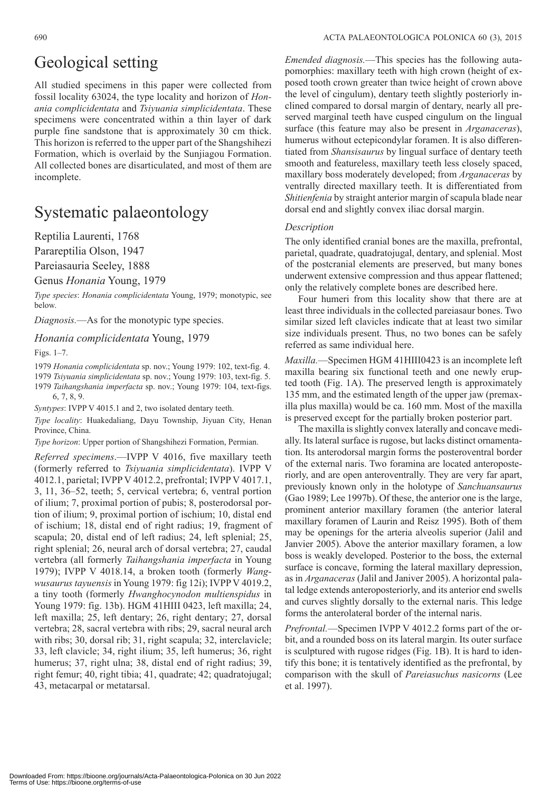### Geological setting

All studied specimens in this paper were collected from fossil locality 63024, the type locality and horizon of *Honania complicidentata* and *Tsiyuania simplicidentata*. These specimens were concentrated within a thin layer of dark purple fine sandstone that is approximately 30 cm thick. This horizon is referred to the upper part of the Shangshihezi Formation, which is overlaid by the Sunjiagou Formation. All collected bones are disarticulated, and most of them are incomplete.

### Systematic palaeontology

Reptilia Laurenti, 1768

Parareptilia Olson, 1947

Pareiasauria Seeley, 1888

Genus *Honania* Young, 1979

*Type species*: *Honania complicidentata* Young, 1979; monotypic, see below.

*Diagnosis.*—As for the monotypic type species.

#### *Honania complicidentata* Young, 1979

Figs. 1–7.

1979 *Honania complicidentata* sp. nov.; Young 1979: 102, text-fig. 4. 1979 *Tsiyuania simplicidentata* sp. nov.; Young 1979: 103, text-fig. 5. 1979 *Taihangshania imperfacta* sp. nov.; Young 1979: 104, text-figs.

6, 7, 8, 9. *Syntypes*: IVPP V 4015.1 and 2, two isolated dentary teeth.

*Type locality*: Huakedaliang, Dayu Township, Jiyuan City, Henan Province, China.

*Type horizon*: Upper portion of Shangshihezi Formation, Permian.

*Referred specimens*.—IVPP V 4016, five maxillary teeth (formerly referred to *Tsiyuania simplicidentata*). IVPP V 4012.1, parietal; IVPP V 4012.2, prefrontal; IVPP V 4017.1, 3, 11, 36–52, teeth; 5, cervical vertebra; 6, ventral portion of ilium; 7, proximal portion of pubis; 8, posterodorsal portion of ilium; 9, proximal portion of ischium; 10, distal end of ischium; 18, distal end of right radius; 19, fragment of scapula; 20, distal end of left radius; 24, left splenial; 25, right splenial; 26, neural arch of dorsal vertebra; 27, caudal vertebra (all formerly *Taihangshania imperfacta* in Young 1979); IVPP V 4018.14, a broken tooth (formerly *Wangwusaurus tayuensis* in Young 1979: fig 12i); IVPP V 4019.2, a tiny tooth (formerly *Hwanghocynodon multienspidus* in Young 1979: fig. 13b). HGM 41HIII 0423, left maxilla; 24, left maxilla; 25, left dentary; 26, right dentary; 27, dorsal vertebra; 28, sacral vertebra with ribs; 29, sacral neural arch with ribs; 30, dorsal rib; 31, right scapula; 32, interclavicle; 33, left clavicle; 34, right ilium; 35, left humerus; 36, right humerus; 37, right ulna; 38, distal end of right radius; 39, right femur; 40, right tibia; 41, quadrate; 42; quadratojugal; 43, metacarpal or metatarsal.

*Emended diagnosis.*—This species has the following autapomorphies: maxillary teeth with high crown (height of exposed tooth crown greater than twice height of crown above the level of cingulum), dentary teeth slightly posteriorly inclined compared to dorsal margin of dentary, nearly all preserved marginal teeth have cusped cingulum on the lingual surface (this feature may also be present in *Arganaceras*), humerus without ectepicondylar foramen. It is also differentiated from *Shansisaurus* by lingual surface of dentary teeth smooth and featureless, maxillary teeth less closely spaced, maxillary boss moderately developed; from *Arganaceras* by ventrally directed maxillary teeth. It is differentiated from *Shitienfenia* by straight anterior margin of scapula blade near dorsal end and slightly convex iliac dorsal margin.

#### *Description*

The only identified cranial bones are the maxilla, prefrontal, parietal, quadrate, quadratojugal, dentary, and splenial. Most of the postcranial elements are preserved, but many bones underwent extensive compression and thus appear flattened; only the relatively complete bones are described here.

Four humeri from this locality show that there are at least three individuals in the collected pareiasaur bones. Two similar sized left clavicles indicate that at least two similar size individuals present. Thus, no two bones can be safely referred as same individual here.

*Maxilla.*—Specimen HGM 41HIII0423 is an incomplete left maxilla bearing six functional teeth and one newly erupted tooth (Fig. 1A). The preserved length is approximately 135 mm, and the estimated length of the upper jaw (premaxilla plus maxilla) would be ca. 160 mm. Most of the maxilla is preserved except for the partially broken posterior part.

The maxilla is slightly convex laterally and concave medially. Its lateral surface is rugose, but lacks distinct ornamentation. Its anterodorsal margin forms the posteroventral border of the external naris. Two foramina are located anteroposteriorly, and are open anteroventrally. They are very far apart, previously known only in the holotype of *Sanchuansaurus* (Gao 1989; Lee 1997b). Of these, the anterior one is the large, prominent anterior maxillary foramen (the anterior lateral maxillary foramen of Laurin and Reisz 1995). Both of them may be openings for the arteria alveolis superior (Jalil and Janvier 2005). Above the anterior maxillary foramen, a low boss is weakly developed. Posterior to the boss, the external surface is concave, forming the lateral maxillary depression, as in *Arganaceras* (Jalil and Janiver 2005). A horizontal palatal ledge extends anteroposteriorly, and its anterior end swells and curves slightly dorsally to the external naris. This ledge forms the anterolateral border of the internal naris.

*Prefrontal.*—Specimen IVPP V 4012.2 forms part of the orbit, and a rounded boss on its lateral margin. Its outer surface is sculptured with rugose ridges (Fig. 1B). It is hard to identify this bone; it is tentatively identified as the prefrontal, by comparison with the skull of *Pareiasuchus nasicorns* (Lee et al. 1997).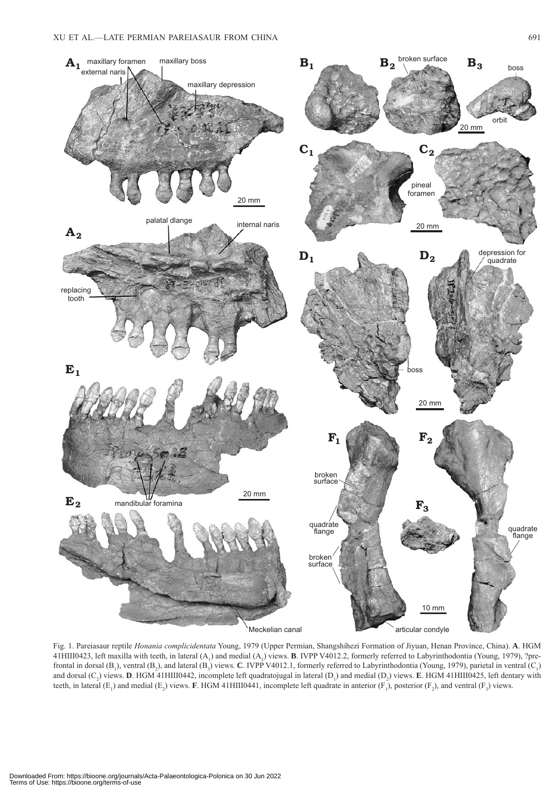

Fig. 1. Pareiasaur reptile *Honania complicidentata* Young, 1979 (Upper Permian, Shangshihezi Formation of Jiyuan, Henan Province, China). **A**. HGM 41HIII0423, left maxilla with teeth, in lateral (A<sub>1</sub>) and medial (A<sub>2</sub>) views. **B**. IVPP V4012.2, formerly referred to Labyrinthodontia (Young, 1979), ?prefrontal in dorsal (B<sub>1</sub>), ventral (B<sub>2</sub>), and lateral (B<sub>3</sub>) views. **C**. IVPP V4012.1, formerly referred to Labyrinthodontia (Young, 1979), parietal in ventral (C<sub>1</sub>) and dorsal  $(C_2)$  views. **D**. HGM 41HIII0442, incomplete left quadratojugal in lateral  $(D_1)$  and medial  $(D_2)$  views. **E**. HGM 41HIII0425, left dentary with teeth, in lateral  $(E_1)$  and medial  $(E_2)$  views. **F**. HGM 41HIII0441, incomplete left quadrate in anterior  $(F_1)$ , posterior  $(F_2)$ , and ventral  $(F_3)$  views.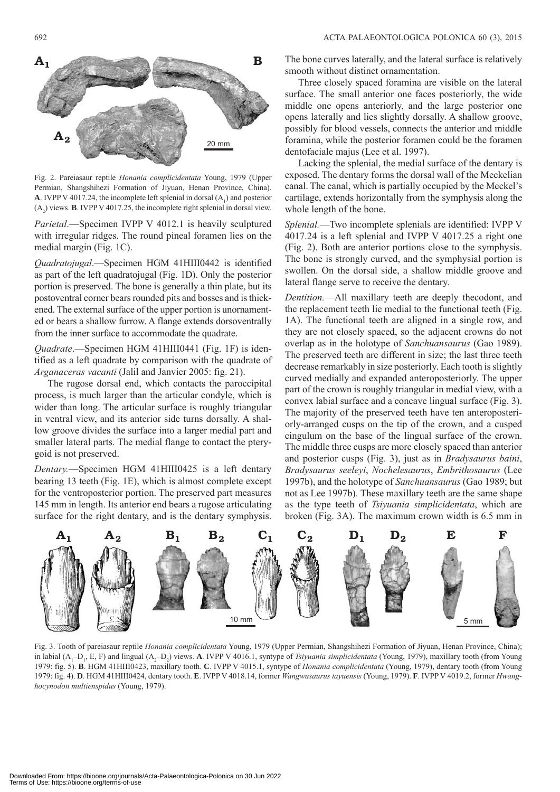

Fig. 2. Pareiasaur reptile *Honania complicidentata* Young, 1979 (Upper Permian, Shangshihezi Formation of Jiyuan, Henan Province, China). **A**. IVPP V 4017.24, the incomplete left splenial in dorsal  $(A_1)$  and posterior  $(A_2)$  views. **B**. IVPP V 4017.25, the incomplete right splenial in dorsal view.

*Parietal*.—Specimen IVPP V 4012.1 is heavily sculptured with irregular ridges. The round pineal foramen lies on the medial margin (Fig. 1C).

*Quadratojugal*.—Specimen HGM 41HIII0442 is identified as part of the left quadratojugal (Fig. 1D). Only the posterior portion is preserved. The bone is generally a thin plate, but its postoventral corner bears rounded pits and bosses and is thickened. The external surface of the upper portion is unornamented or bears a shallow furrow. A flange extends dorsoventrally from the inner surface to accommodate the quadrate.

*Quadrate*.—Specimen HGM 41HIII0441 (Fig. 1F) is identified as a left quadrate by comparison with the quadrate of *Arganaceras vacanti* (Jalil and Janvier 2005: fig. 21).

The rugose dorsal end, which contacts the paroccipital process, is much larger than the articular condyle, which is wider than long. The articular surface is roughly triangular in ventral view, and its anterior side turns dorsally. A shallow groove divides the surface into a larger medial part and smaller lateral parts. The medial flange to contact the pterygoid is not preserved.

*Dentary.*—Specimen HGM 41HIII0425 is a left dentary bearing 13 teeth (Fig. 1E), which is almost complete except for the ventroposterior portion. The preserved part measures 145 mm in length. Its anterior end bears a rugose articulating surface for the right dentary, and is the dentary symphysis. The bone curves laterally, and the lateral surface is relatively smooth without distinct ornamentation.

Three closely spaced foramina are visible on the lateral surface. The small anterior one faces posteriorly, the wide middle one opens anteriorly, and the large posterior one opens laterally and lies slightly dorsally. A shallow groove, possibly for blood vessels, connects the anterior and middle foramina, while the posterior foramen could be the foramen dentofaciale majus (Lee et al. 1997).

Lacking the splenial, the medial surface of the dentary is exposed. The dentary forms the dorsal wall of the Meckelian canal. The canal, which is partially occupied by the Meckel's cartilage, extends horizontally from the symphysis along the whole length of the bone.

*Splenial.*—Two incomplete splenials are identified: IVPP V 4017.24 is a left splenial and IVPP V 4017.25 a right one (Fig. 2). Both are anterior portions close to the symphysis. The bone is strongly curved, and the symphysial portion is swollen. On the dorsal side, a shallow middle groove and lateral flange serve to receive the dentary.

*Dentition.*—All maxillary teeth are deeply thecodont, and the replacement teeth lie medial to the functional teeth (Fig. 1A). The functional teeth are aligned in a single row, and they are not closely spaced, so the adjacent crowns do not overlap as in the holotype of *Sanchuansaurus* (Gao 1989). The preserved teeth are different in size; the last three teeth decrease remarkably in size posteriorly. Each tooth is slightly curved medially and expanded anteroposteriorly. The upper part of the crown is roughly triangular in medial view, with a convex labial surface and a concave lingual surface (Fig. 3). The majority of the preserved teeth have ten anteroposteriorly-arranged cusps on the tip of the crown, and a cusped cingulum on the base of the lingual surface of the crown. The middle three cusps are more closely spaced than anterior and posterior cusps (Fig. 3), just as in *Bradysaurus baini*, *Bradysaurus seeleyi*, *Nochelesaurus*, *Embrithosaurus* (Lee 1997b), and the holotype of *Sanchuansaurus* (Gao 1989; but not as Lee 1997b). These maxillary teeth are the same shape as the type teeth of *Tsiyuania simplicidentata*, which are broken (Fig. 3A). The maximum crown width is 6.5 mm in



Fig. 3. Tooth of pareiasaur reptile *Honania complicidentata* Young, 1979 (Upper Permian, Shangshihezi Formation of Jiyuan, Henan Province, China); in labial (A<sub>1</sub>-D<sub>1</sub>, E, F) and lingual (A<sub>2</sub>-D<sub>2</sub>) views. **A**. IVPP V 4016.1, syntype of *Tsiyuania simplicidentata* (Young, 1979), maxillary tooth (from Young 1979: fig. 5). **B**. HGM 41HIII0423, maxillary tooth. **C**. IVPP V 4015.1, syntype of *Honania complicidentata* (Young, 1979), dentary tooth (from Young 1979: fig. 4). **D**. HGM 41HIII0424, dentary tooth. **E**. IVPP V 4018.14, former *Wangwusaurus tayuensis* (Young, 1979). **F**. IVPP V 4019.2, former *Hwanghocynodon multienspidus* (Young, 1979).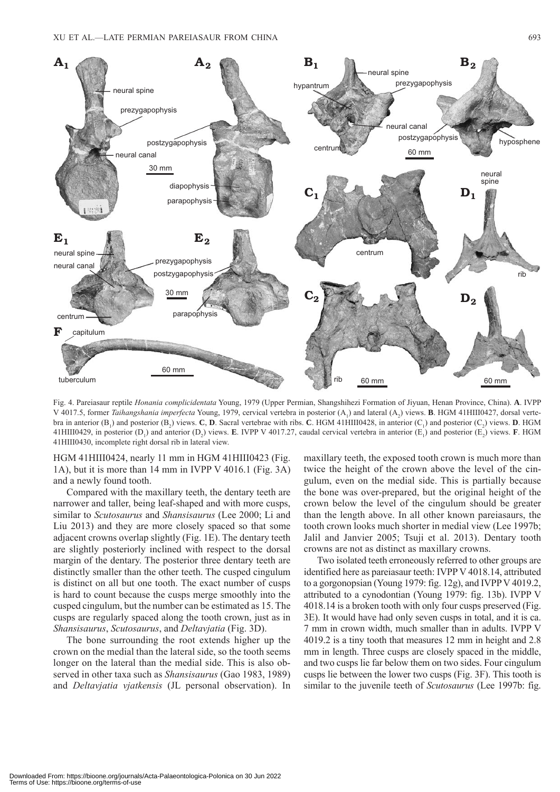

Fig. 4. Pareiasaur reptile *Honania complicidentata* Young, 1979 (Upper Permian, Shangshihezi Formation of Jiyuan, Henan Province, China). **A**. IVPP V 4017.5, former *Taihangshania imperfecta* Young, 1979, cervical vertebra in posterior (A<sub>1</sub>) and lateral (A<sub>2</sub>) views. **B**. HGM 41HIII0427, dorsal vertebra in anterior  $(B_1)$  and posterior  $(B_2)$  views. **C**, **D**. Sacral vertebrae with ribs. **C**. HGM 41HIII0428, in anterior  $(C_1)$  and posterior  $(C_2)$  views. **D**. HGM 41HIII0429, in posterior  $(D_1)$  and anterior  $(D_2)$  views. **E**. IVPP V 4017.27, caudal cervical vertebra in anterior  $(E_1)$  and posterior  $(E_2)$  views. **F**. HGM 41HIII0430, incomplete right dorsal rib in lateral view.

HGM 41HIII0424, nearly 11 mm in HGM 41HIII0423 (Fig. 1A), but it is more than 14 mm in IVPP V 4016.1 (Fig. 3A) and a newly found tooth.

Compared with the maxillary teeth, the dentary teeth are narrower and taller, being leaf-shaped and with more cusps, similar to *Scutosaurus* and *Shansisaurus* (Lee 2000; Li and Liu 2013) and they are more closely spaced so that some adjacent crowns overlap slightly (Fig. 1E). The dentary teeth are slightly posteriorly inclined with respect to the dorsal margin of the dentary. The posterior three dentary teeth are distinctly smaller than the other teeth. The cusped cingulum is distinct on all but one tooth. The exact number of cusps is hard to count because the cusps merge smoothly into the cusped cingulum, but the number can be estimated as 15. The cusps are regularly spaced along the tooth crown, just as in *Shansisaurus*, *Scutosaurus*, and *Deltavjatia* (Fig. 3D).

The bone surrounding the root extends higher up the crown on the medial than the lateral side, so the tooth seems longer on the lateral than the medial side. This is also observed in other taxa such as *Shansisaurus* (Gao 1983, 1989) and *Deltavjatia vjatkensis* (JL personal observation). In maxillary teeth, the exposed tooth crown is much more than twice the height of the crown above the level of the cingulum, even on the medial side. This is partially because the bone was over-prepared, but the original height of the crown below the level of the cingulum should be greater than the length above. In all other known pareiasaurs, the tooth crown looks much shorter in medial view (Lee 1997b; Jalil and Janvier 2005; Tsuji et al. 2013). Dentary tooth crowns are not as distinct as maxillary crowns.

Two isolated teeth erroneously referred to other groups are identified here as pareiasaur teeth: IVPP V 4018.14, attributed to a gorgonopsian (Young 1979: fig. 12g), and IVPP V 4019.2, attributed to a cynodontian (Young 1979: fig. 13b). IVPP V 4018.14 is a broken tooth with only four cusps preserved (Fig. 3E). It would have had only seven cusps in total, and it is ca. 7 mm in crown width, much smaller than in adults. IVPP V 4019.2 is a tiny tooth that measures 12 mm in height and 2.8 mm in length. Three cusps are closely spaced in the middle, and two cusps lie far below them on two sides. Four cingulum cusps lie between the lower two cusps (Fig. 3F). This tooth is similar to the juvenile teeth of *Scutosaurus* (Lee 1997b: fig.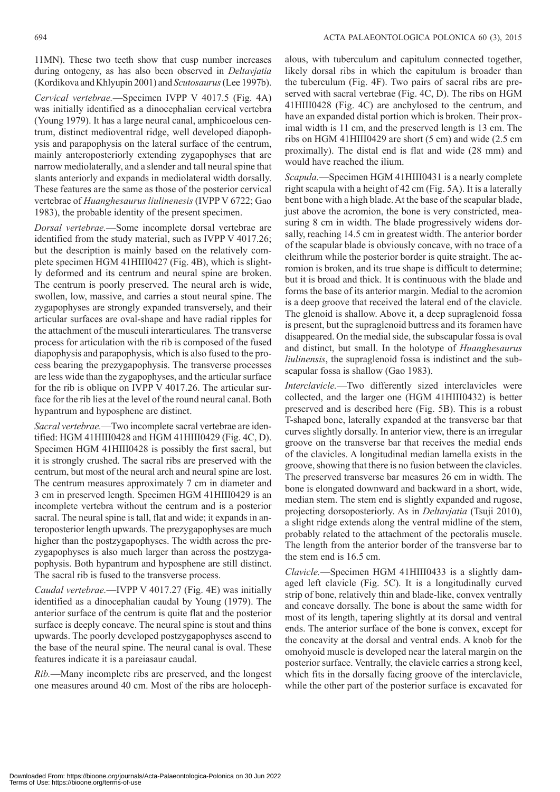11MN). These two teeth show that cusp number increases during ontogeny, as has also been observed in *Deltavjatia* (Kordikova and Khlyupin 2001) and *Scutosaurus* (Lee 1997b).

*Cervical vertebrae.*—Specimen IVPP V 4017.5 (Fig. 4A) was initially identified as a dinocephalian cervical vertebra (Young 1979). It has a large neural canal, amphicoelous centrum, distinct medioventral ridge, well developed diapophysis and parapophysis on the lateral surface of the centrum, mainly anteroposteriorly extending zygapophyses that are narrow mediolaterally, and a slender and tall neural spine that slants anteriorly and expands in mediolateral width dorsally. These features are the same as those of the posterior cervical vertebrae of *Huanghesaurus liulinenesis* (IVPP V 6722; Gao 1983), the probable identity of the present specimen.

*Dorsal vertebrae.*—Some incomplete dorsal vertebrae are identified from the study material, such as IVPP V 4017.26; but the description is mainly based on the relatively complete specimen HGM 41HIII0427 (Fig. 4B), which is slightly deformed and its centrum and neural spine are broken. The centrum is poorly preserved. The neural arch is wide, swollen, low, massive, and carries a stout neural spine. The zygapophyses are strongly expanded transversely, and their articular surfaces are oval-shape and have radial ripples for the attachment of the musculi interarticulares*.* The transverse process for articulation with the rib is composed of the fused diapophysis and parapophysis, which is also fused to the process bearing the prezygapophysis. The transverse processes are less wide than the zygapophyses, and the articular surface for the rib is oblique on IVPP V 4017.26. The articular surface for the rib lies at the level of the round neural canal. Both hypantrum and hyposphene are distinct.

*Sacral vertebrae.*—Two incomplete sacral vertebrae are identified: HGM 41HIII0428 and HGM 41HIII0429 (Fig. 4C, D). Specimen HGM 41HIII0428 is possibly the first sacral, but it is strongly crushed. The sacral ribs are preserved with the centrum, but most of the neural arch and neural spine are lost. The centrum measures approximately 7 cm in diameter and 3 cm in preserved length. Specimen HGM 41HIII0429 is an incomplete vertebra without the centrum and is a posterior sacral. The neural spine is tall, flat and wide; it expands in anteroposterior length upwards. The prezygapophyses are much higher than the postzygapophyses. The width across the prezygapophyses is also much larger than across the postzygapophysis. Both hypantrum and hyposphene are still distinct. The sacral rib is fused to the transverse process.

*Caudal vertebrae.*—IVPP V 4017.27 (Fig. 4E) was initially identified as a dinocephalian caudal by Young (1979). The anterior surface of the centrum is quite flat and the posterior surface is deeply concave. The neural spine is stout and thins upwards. The poorly developed postzygapophyses ascend to the base of the neural spine. The neural canal is oval. These features indicate it is a pareiasaur caudal.

*Rib.*—Many incomplete ribs are preserved, and the longest one measures around 40 cm. Most of the ribs are holoceph-

alous, with tuberculum and capitulum connected together, likely dorsal ribs in which the capitulum is broader than the tuberculum (Fig. 4F). Two pairs of sacral ribs are preserved with sacral vertebrae (Fig. 4C, D). The ribs on HGM 41HIII0428 (Fig. 4C) are anchylosed to the centrum, and have an expanded distal portion which is broken. Their proximal width is 11 cm, and the preserved length is 13 cm. The ribs on HGM 41HIII0429 are short (5 cm) and wide (2.5 cm proximally). The distal end is flat and wide (28 mm) and would have reached the ilium.

*Scapula.*—Specimen HGM 41HIII0431 is a nearly complete right scapula with a height of 42 cm (Fig. 5A). It is a laterally bent bone with a high blade. At the base of the scapular blade, just above the acromion, the bone is very constricted, measuring 8 cm in width. The blade progressively widens dorsally, reaching 14.5 cm in greatest width. The anterior border of the scapular blade is obviously concave, with no trace of a cleithrum while the posterior border is quite straight. The acromion is broken, and its true shape is difficult to determine; but it is broad and thick. It is continuous with the blade and forms the base of its anterior margin. Medial to the acromion is a deep groove that received the lateral end of the clavicle. The glenoid is shallow. Above it, a deep supraglenoid fossa is present, but the supraglenoid buttress and its foramen have disappeared. On the medial side, the subscapular fossa is oval and distinct, but small. In the holotype of *Huanghesaurus liulinensis*, the supraglenoid fossa is indistinct and the subscapular fossa is shallow (Gao 1983).

*Interclavicle.*—Two differently sized interclavicles were collected, and the larger one (HGM 41HIII0432) is better preserved and is described here (Fig. 5B). This is a robust T-shaped bone, laterally expanded at the transverse bar that curves slightly dorsally. In anterior view, there is an irregular groove on the transverse bar that receives the medial ends of the clavicles. A longitudinal median lamella exists in the groove, showing that there is no fusion between the clavicles. The preserved transverse bar measures 26 cm in width. The bone is elongated downward and backward in a short, wide, median stem. The stem end is slightly expanded and rugose, projecting dorsoposteriorly. As in *Deltavjatia* (Tsuji 2010), a slight ridge extends along the ventral midline of the stem, probably related to the attachment of the pectoralis muscle. The length from the anterior border of the transverse bar to the stem end is 16.5 cm.

*Clavicle.*—Specimen HGM 41HIII0433 is a slightly damaged left clavicle (Fig. 5C). It is a longitudinally curved strip of bone, relatively thin and blade-like, convex ventrally and concave dorsally. The bone is about the same width for most of its length, tapering slightly at its dorsal and ventral ends. The anterior surface of the bone is convex, except for the concavity at the dorsal and ventral ends. A knob for the omohyoid muscle is developed near the lateral margin on the posterior surface. Ventrally, the clavicle carries a strong keel, which fits in the dorsally facing groove of the interclavicle, while the other part of the posterior surface is excavated for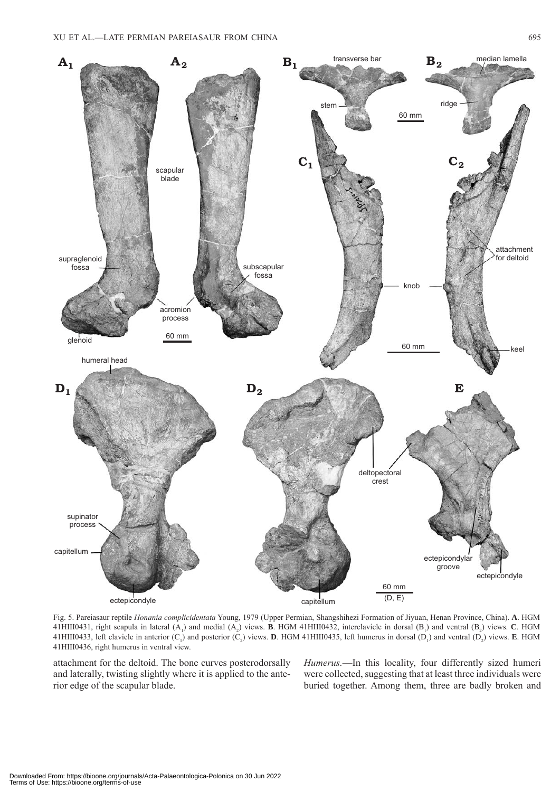

Fig. 5. Pareiasaur reptile *Honania complicidentata* Young, 1979 (Upper Permian, Shangshihezi Formation of Jiyuan, Henan Province, China). **A**. HGM 41HIII0431, right scapula in lateral  $(A_1)$  and medial  $(A_2)$  views. **B**. HGM 41HIII0432, interclavicle in dorsal  $(B_1)$  and ventral  $(B_2)$  views. **C**. HGM 41HIII0433, left clavicle in anterior  $(C_1)$  and posterior  $(C_2)$  views. **D**. HGM 41HIII0435, left humerus in dorsal  $(D_1)$  and ventral  $(D_2)$  views. **E**. HGM 41HIII0436, right humerus in ventral view.

attachment for the deltoid. The bone curves posterodorsally and laterally, twisting slightly where it is applied to the anterior edge of the scapular blade.

*Humerus.*—In this locality, four differently sized humeri were collected, suggesting that at least three individuals were buried together. Among them, three are badly broken and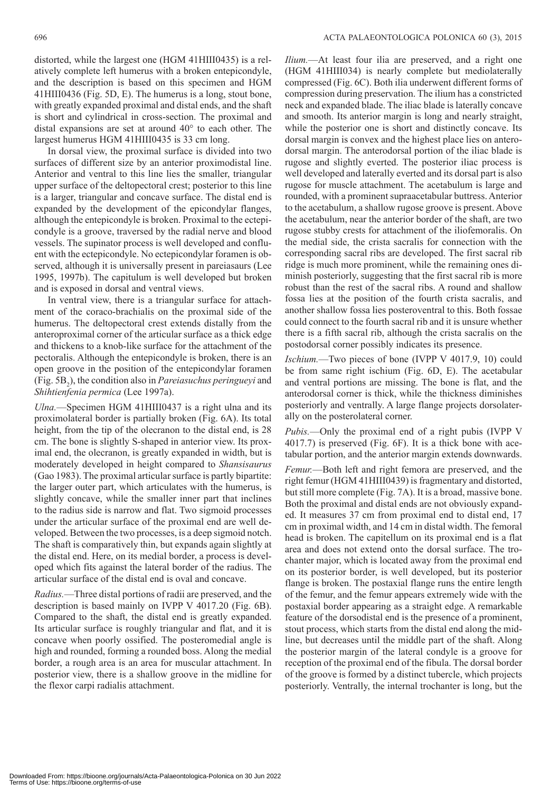distorted, while the largest one (HGM 41HIII0435) is a relatively complete left humerus with a broken entepicondyle, and the description is based on this specimen and HGM 41HIII0436 (Fig. 5D, E). The humerus is a long, stout bone, with greatly expanded proximal and distal ends, and the shaft is short and cylindrical in cross-section. The proximal and distal expansions are set at around 40° to each other. The largest humerus HGM 41HIII0435 is 33 cm long.

In dorsal view, the proximal surface is divided into two surfaces of different size by an anterior proximodistal line. Anterior and ventral to this line lies the smaller, triangular upper surface of the deltopectoral crest; posterior to this line is a larger, triangular and concave surface. The distal end is expanded by the development of the epicondylar flanges, although the entepicondyle is broken. Proximal to the ectepicondyle is a groove, traversed by the radial nerve and blood vessels. The supinator process is well developed and confluent with the ectepicondyle. No ectepicondylar foramen is observed, although it is universally present in pareiasaurs (Lee 1995, 1997b). The capitulum is well developed but broken and is exposed in dorsal and ventral views.

In ventral view, there is a triangular surface for attachment of the coraco-brachialis on the proximal side of the humerus. The deltopectoral crest extends distally from the anteroproximal corner of the articular surface as a thick edge and thickens to a knob-like surface for the attachment of the pectoralis. Although the entepicondyle is broken, there is an open groove in the position of the entepicondylar foramen (Fig. 5B<sub>2</sub>), the condition also in *Pareiasuchus peringueyi* and *Shihtienfenia permica* (Lee 1997a).

*Ulna.*—Specimen HGM 41HIII0437 is a right ulna and its proximolateral border is partially broken (Fig. 6A). Its total height, from the tip of the olecranon to the distal end, is 28 cm. The bone is slightly S-shaped in anterior view. Its proximal end, the olecranon, is greatly expanded in width, but is moderately developed in height compared to *Shansisaurus* (Gao 1983). The proximal articular surface is partly bipartite: the larger outer part, which articulates with the humerus, is slightly concave, while the smaller inner part that inclines to the radius side is narrow and flat. Two sigmoid processes under the articular surface of the proximal end are well developed. Between the two processes, is a deep sigmoid notch. The shaft is comparatively thin, but expands again slightly at the distal end. Here, on its medial border, a process is developed which fits against the lateral border of the radius. The articular surface of the distal end is oval and concave.

*Radius.*—Three distal portions of radii are preserved, and the description is based mainly on IVPP V 4017.20 (Fig. 6B). Compared to the shaft, the distal end is greatly expanded. Its articular surface is roughly triangular and flat, and it is concave when poorly ossified. The posteromedial angle is high and rounded, forming a rounded boss. Along the medial border, a rough area is an area for muscular attachment. In posterior view, there is a shallow groove in the midline for the flexor carpi radialis attachment.

*Ilium.*—At least four ilia are preserved, and a right one (HGM 41HIII034) is nearly complete but mediolaterally compressed (Fig. 6C). Both ilia underwent different forms of compression during preservation. The ilium has a constricted neck and expanded blade. The iliac blade is laterally concave and smooth. Its anterior margin is long and nearly straight, while the posterior one is short and distinctly concave. Its dorsal margin is convex and the highest place lies on anterodorsal margin. The anterodorsal portion of the iliac blade is rugose and slightly everted. The posterior iliac process is well developed and laterally everted and its dorsal part is also rugose for muscle attachment. The acetabulum is large and rounded, with a prominent supraacetabular buttress. Anterior to the acetabulum, a shallow rugose groove is present. Above the acetabulum, near the anterior border of the shaft, are two rugose stubby crests for attachment of the iliofemoralis. On the medial side, the crista sacralis for connection with the corresponding sacral ribs are developed. The first sacral rib ridge is much more prominent, while the remaining ones diminish posteriorly, suggesting that the first sacral rib is more robust than the rest of the sacral ribs. A round and shallow fossa lies at the position of the fourth crista sacralis, and another shallow fossa lies posteroventral to this. Both fossae could connect to the fourth sacral rib and it is unsure whether there is a fifth sacral rib, although the crista sacralis on the postodorsal corner possibly indicates its presence.

*Ischium.*—Two pieces of bone (IVPP V 4017.9, 10) could be from same right ischium (Fig. 6D, E). The acetabular and ventral portions are missing. The bone is flat, and the anterodorsal corner is thick, while the thickness diminishes posteriorly and ventrally. A large flange projects dorsolaterally on the posterolateral corner.

*Pubis.*—Only the proximal end of a right pubis (IVPP V 4017.7) is preserved (Fig. 6F). It is a thick bone with acetabular portion, and the anterior margin extends downwards.

*Femur.*—Both left and right femora are preserved, and the right femur (HGM 41HIII0439) is fragmentary and distorted, but still more complete (Fig. 7A). It is a broad, massive bone. Both the proximal and distal ends are not obviously expanded. It measures 37 cm from proximal end to distal end, 17 cm in proximal width, and 14 cm in distal width. The femoral head is broken. The capitellum on its proximal end is a flat area and does not extend onto the dorsal surface. The trochanter major, which is located away from the proximal end on its posterior border, is well developed, but its posterior flange is broken. The postaxial flange runs the entire length of the femur, and the femur appears extremely wide with the postaxial border appearing as a straight edge. A remarkable feature of the dorsodistal end is the presence of a prominent, stout process, which starts from the distal end along the midline, but decreases until the middle part of the shaft. Along the posterior margin of the lateral condyle is a groove for reception of the proximal end of the fibula. The dorsal border of the groove is formed by a distinct tubercle, which projects posteriorly. Ventrally, the internal trochanter is long, but the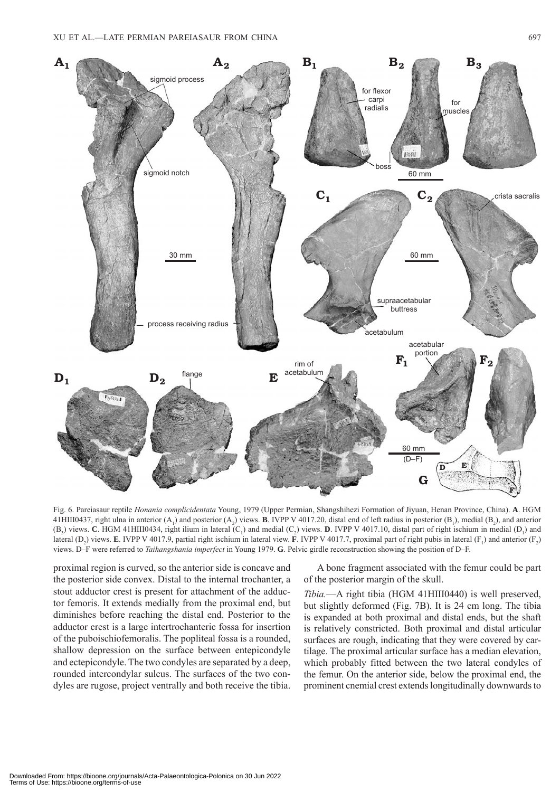

Fig. 6. Pareiasaur reptile *Honania complicidentata* Young, 1979 (Upper Permian, Shangshihezi Formation of Jiyuan, Henan Province, China). **A**. HGM 41HIII0437, right ulna in anterior  $(A_1)$  and posterior  $(A_2)$  views. **B**. IVPP V 4017.20, distal end of left radius in posterior  $(B_1)$ , medial  $(B_2)$ , and anterior  $(B_3)$  views. **C**. HGM 41HIII0434, right ilium in lateral  $(C_1)$  and medial  $(C_2)$  views. **D**. IVPP V 4017.10, distal part of right ischium in medial  $(D_1)$  and lateral  $(D_2)$  views. **E**. IVPP V 4017.9, partial right ischium in lateral view. **F**. IVPP V 4017.7, proximal part of right pubis in lateral ( $F_1$ ) and anterior ( $F_2$ ) views. D–F were referred to *Taihangshania imperfect* in Young 1979. **G**. Pelvic girdle reconstruction showing the position of D–F.

proximal region is curved, so the anterior side is concave and the posterior side convex. Distal to the internal trochanter, a stout adductor crest is present for attachment of the adductor femoris. It extends medially from the proximal end, but diminishes before reaching the distal end. Posterior to the adductor crest is a large intertrochanteric fossa for insertion of the puboischiofemoralis. The popliteal fossa is a rounded, shallow depression on the surface between entepicondyle and ectepicondyle. The two condyles are separated by a deep, rounded intercondylar sulcus. The surfaces of the two condyles are rugose, project ventrally and both receive the tibia.

A bone fragment associated with the femur could be part of the posterior margin of the skull.

*Tibia.*—A right tibia (HGM 41HIII0440) is well preserved, but slightly deformed (Fig. 7B). It is 24 cm long. The tibia is expanded at both proximal and distal ends, but the shaft is relatively constricted. Both proximal and distal articular surfaces are rough, indicating that they were covered by cartilage. The proximal articular surface has a median elevation, which probably fitted between the two lateral condyles of the femur. On the anterior side, below the proximal end, the prominent cnemial crest extends longitudinally downwards to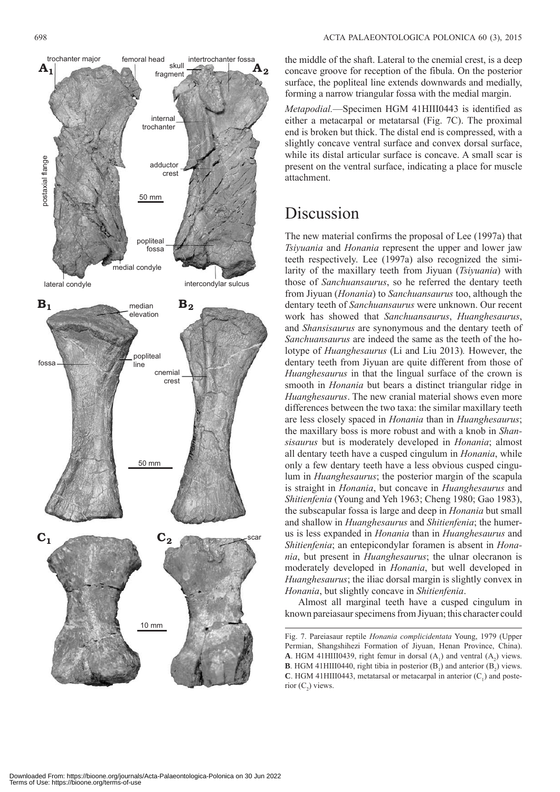

the middle of the shaft. Lateral to the cnemial crest, is a deep concave groove for reception of the fibula. On the posterior surface, the popliteal line extends downwards and medially, forming a narrow triangular fossa with the medial margin.

*Metapodial.*—Specimen HGM 41HIII0443 is identified as either a metacarpal or metatarsal (Fig. 7C). The proximal end is broken but thick. The distal end is compressed, with a slightly concave ventral surface and convex dorsal surface, while its distal articular surface is concave. A small scar is present on the ventral surface, indicating a place for muscle attachment.

### Discussion

The new material confirms the proposal of Lee (1997a) that *Tsiyuania* and *Honania* represent the upper and lower jaw teeth respectively. Lee (1997a) also recognized the similarity of the maxillary teeth from Jiyuan (*Tsiyuania*) with those of *Sanchuansaurus*, so he referred the dentary teeth from Jiyuan (*Honania*) to *Sanchuansaurus* too, although the dentary teeth of *Sanchuansaurus* were unknown. Our recent work has showed that *Sanchuansaurus*, *Huanghesaurus*, and *Shansisaurus* are synonymous and the dentary teeth of *Sanchuansaurus* are indeed the same as the teeth of the holotype of *Huanghesaurus* (Li and Liu 2013)*.* However, the dentary teeth from Jiyuan are quite different from those of *Huanghesaurus* in that the lingual surface of the crown is smooth in *Honania* but bears a distinct triangular ridge in *Huanghesaurus*. The new cranial material shows even more differences between the two taxa: the similar maxillary teeth are less closely spaced in *Honania* than in *Huanghesaurus*; the maxillary boss is more robust and with a knob in *Shansisaurus* but is moderately developed in *Honania*; almost all dentary teeth have a cusped cingulum in *Honania*, while only a few dentary teeth have a less obvious cusped cingulum in *Huanghesaurus*; the posterior margin of the scapula is straight in *Honania*, but concave in *Huanghesaurus* and *Shitienfenia* (Young and Yeh 1963; Cheng 1980; Gao 1983), the subscapular fossa is large and deep in *Honania* but small and shallow in *Huanghesaurus* and *Shitienfenia*; the humerus is less expanded in *Honania* than in *Huanghesaurus* and *Shitienfenia*; an entepicondylar foramen is absent in *Honania*, but present in *Huanghesaurus*; the ulnar olecranon is moderately developed in *Honania*, but well developed in *Huanghesaurus*; the iliac dorsal margin is slightly convex in *Honania*, but slightly concave in *Shitienfenia*.

Almost all marginal teeth have a cusped cingulum in known pareiasaur specimens from Jiyuan; this character could

Fig. 7. Pareiasaur reptile *Honania complicidentata* Young, 1979 (Upper Permian, Shangshihezi Formation of Jiyuan, Henan Province, China). **A**. HGM 41HIII0439, right femur in dorsal  $(A_1)$  and ventral  $(A_2)$  views. **B**. HGM 41HIII0440, right tibia in posterior  $(B_1)$  and anterior  $(B_2)$  views. **C**. HGM 41HIII0443, metatarsal or metacarpal in anterior  $(C_1)$  and posterior  $(C_2)$  views.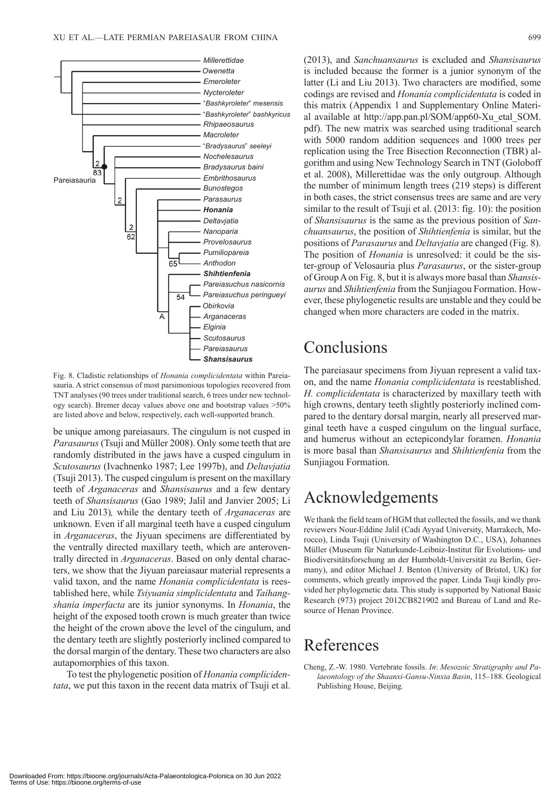

Fig. 8. Cladistic relationships of *Honania complicidentata* within Pareiasauria. A strict consensus of most parsimonious topologies recovered from TNT analyses (90 trees under traditional search, 6 trees under new technology search). Bremer decay values above one and bootstrap values >50% are listed above and below, respectively, each well-supported branch.

be unique among pareiasaurs. The cingulum is not cusped in *Parasaurus* (Tsuji and Müller 2008). Only some teeth that are randomly distributed in the jaws have a cusped cingulum in *Scutosaurus* (Ivachnenko 1987; Lee 1997b), and *Deltavjatia* (Tsuji 2013). The cusped cingulum is present on the maxillary teeth of *Arganaceras* and *Shansisaurus* and a few dentary teeth of *Shansisaurus* (Gao 1989; Jalil and Janvier 2005; Li and Liu 2013)*,* while the dentary teeth of *Arganaceras* are unknown. Even if all marginal teeth have a cusped cingulum in *Arganaceras*, the Jiyuan specimens are differentiated by the ventrally directed maxillary teeth, which are anteroventrally directed in *Arganaceras*. Based on only dental characters, we show that the Jiyuan pareiasaur material represents a valid taxon, and the name *Honania complicidentata* is reestablished here, while *Tsiyuania simplicidentata* and *Taihangshania imperfacta* are its junior synonyms. In *Honania*, the height of the exposed tooth crown is much greater than twice the height of the crown above the level of the cingulum, and the dentary teeth are slightly posteriorly inclined compared to the dorsal margin of the dentary. These two characters are also autapomorphies of this taxon.

To test the phylogenetic position of *Honania complicidentata*, we put this taxon in the recent data matrix of Tsuji et al. (2013), and *Sanchuansaurus* is excluded and *Shansisaurus* is included because the former is a junior synonym of the latter (Li and Liu 2013). Two characters are modified, some codings are revised and *Honania complicidentata* is coded in [this matrix \(Appendix 1 and Supplementary Online Materi](http://app.pan.pl/SOM/app60-Xu_etal_SOM.pdf)al available at http://app.pan.pl/SOM/app60-Xu\_etal\_SOM. pdf). The new matrix was searched using traditional search with 5000 random addition sequences and 1000 trees per replication using the Tree Bisection Reconnection (TBR) algorithm and using New Technology Search in TNT (Goloboff et al. 2008), Millerettidae was the only outgroup. Although the number of minimum length trees (219 steps) is different in both cases, the strict consensus trees are same and are very similar to the result of Tsuji et al. (2013: fig. 10): the position of *Shansisaurus* is the same as the previous position of *Sanchuansaurus*, the position of *Shihtienfenia* is similar, but the positions of *Parasaurus* and *Deltavjatia* are changed (Fig. 8). The position of *Honania* is unresolved: it could be the sister-group of Velosauria plus *Parasaurus*, or the sister-group of Group A on Fig. 8, but it is always more basal than *Shansisaurus* and *Shihtienfenia* from the Sunjiagou Formation. However, these phylogenetic results are unstable and they could be changed when more characters are coded in the matrix.

### Conclusions

The pareiasaur specimens from Jiyuan represent a valid taxon, and the name *Honania complicidentata* is reestablished. *H. complicidentata* is characterized by maxillary teeth with high crowns, dentary teeth slightly posteriorly inclined compared to the dentary dorsal margin, nearly all preserved marginal teeth have a cusped cingulum on the lingual surface, and humerus without an ectepicondylar foramen. *Honania* is more basal than *Shansisaurus* and *Shihtienfenia* from the Sunjiagou Formation.

### Acknowledgements

We thank the field team of HGM that collected the fossils, and we thank reviewers Nour-Eddine Jalil (Cadi Ayyad University, Marrakech, Morocco), Linda Tsuji (University of Washington D.C., USA), Johannes Müller (Museum für Naturkunde-Leibniz-Institut für Evolutions- und Biodiversitätsforschung an der Humboldt-Universität zu Berlin, Germany), and editor Michael J. Benton (University of Bristol, UK) for comments, which greatly improved the paper. Linda Tsuji kindly provided her phylogenetic data. This study is supported by National Basic Research (973) project 2012CB821902 and Bureau of Land and Resource of Henan Province.

### References

Cheng, Z.-W. 1980. Vertebrate fossils. *In*: *Mesozoic Stratigraphy and Palaeontology of the Shaanxi-Gansu-Ninxia Basin*, 115–188. Geological Publishing House, Beijing.